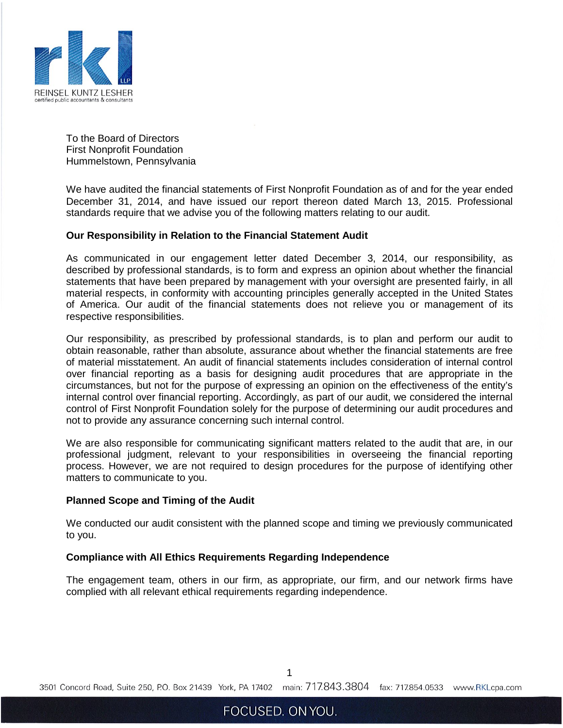

To the Board of Directors First Nonprofit Foundation Hummelstown, Pennsylvania

We have audited the financial statements of First Nonprofit Foundation as of and for the year ended December 31, 2014, and have issued our report thereon dated March 13, 2015. Professional standards require that we advise you of the following matters relating to our audit.

## **Our Responsibility in Relation to the Financial Statement Audit**

As communicated in our engagement letter dated December 3, 2014, our responsibility, as described by professional standards, is to form and express an opinion about whether the financial statements that have been prepared by management with your oversight are presented fairly, in all material respects, in conformity with accounting principles generally accepted in the United States of America. Our audit of the financial statements does not relieve you or management of its respective responsibilities.

Our responsibility, as prescribed by professional standards, is to plan and perform our audit to obtain reasonable, rather than absolute, assurance about whether the financial statements are free of material misstatement. An audit of financial statements includes consideration of internal control over financial reporting as a basis for designing audit procedures that are appropriate in the circumstances, but not for the purpose of expressing an opinion on the effectiveness of the entity's internal control over financial reporting. Accordingly, as part of our audit, we considered the internal control of First Nonprofit Foundation solely for the purpose of determining our audit procedures and not to provide any assurance concerning such internal control.

We are also responsible for communicating significant matters related to the audit that are, in our professional judgment, relevant to your responsibilities in overseeing the financial reporting process. However, we are not required to design procedures for the purpose of identifying other matters to communicate to you.

## **Planned Scope and Timing of the Audit**

We conducted our audit consistent with the planned scope and timing we previously communicated to you.

## **Compliance with All Ethics Requirements Regarding Independence**

The engagement team, others in our firm, as appropriate, our firm, and our network firms have complied with all relevant ethical requirements regarding independence.

1

3501 Concord Road, Suite 250, P.O. Box 21439 York, PA 17402 main: 717.843.3804 fax: 717.854.0533 www.RKLcpa.com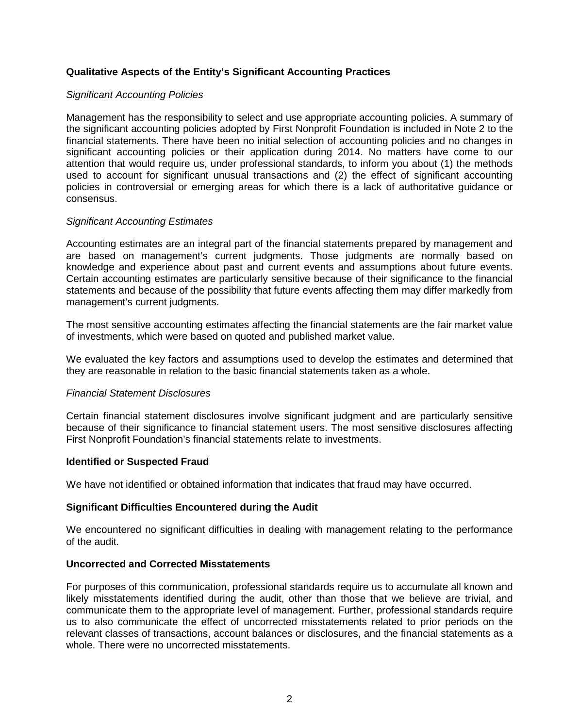# **Qualitative Aspects of the Entity's Significant Accounting Practices**

## *Significant Accounting Policies*

Management has the responsibility to select and use appropriate accounting policies. A summary of the significant accounting policies adopted by First Nonprofit Foundation is included in Note 2 to the financial statements. There have been no initial selection of accounting policies and no changes in significant accounting policies or their application during 2014. No matters have come to our attention that would require us, under professional standards, to inform you about (1) the methods used to account for significant unusual transactions and (2) the effect of significant accounting policies in controversial or emerging areas for which there is a lack of authoritative guidance or consensus.

## *Significant Accounting Estimates*

Accounting estimates are an integral part of the financial statements prepared by management and are based on management's current judgments. Those judgments are normally based on knowledge and experience about past and current events and assumptions about future events. Certain accounting estimates are particularly sensitive because of their significance to the financial statements and because of the possibility that future events affecting them may differ markedly from management's current judgments.

The most sensitive accounting estimates affecting the financial statements are the fair market value of investments, which were based on quoted and published market value.

We evaluated the key factors and assumptions used to develop the estimates and determined that they are reasonable in relation to the basic financial statements taken as a whole.

## *Financial Statement Disclosures*

Certain financial statement disclosures involve significant judgment and are particularly sensitive because of their significance to financial statement users. The most sensitive disclosures affecting First Nonprofit Foundation's financial statements relate to investments.

## **Identified or Suspected Fraud**

We have not identified or obtained information that indicates that fraud may have occurred.

# **Significant Difficulties Encountered during the Audit**

We encountered no significant difficulties in dealing with management relating to the performance of the audit.

## **Uncorrected and Corrected Misstatements**

For purposes of this communication, professional standards require us to accumulate all known and likely misstatements identified during the audit, other than those that we believe are trivial, and communicate them to the appropriate level of management. Further, professional standards require us to also communicate the effect of uncorrected misstatements related to prior periods on the relevant classes of transactions, account balances or disclosures, and the financial statements as a whole. There were no uncorrected misstatements.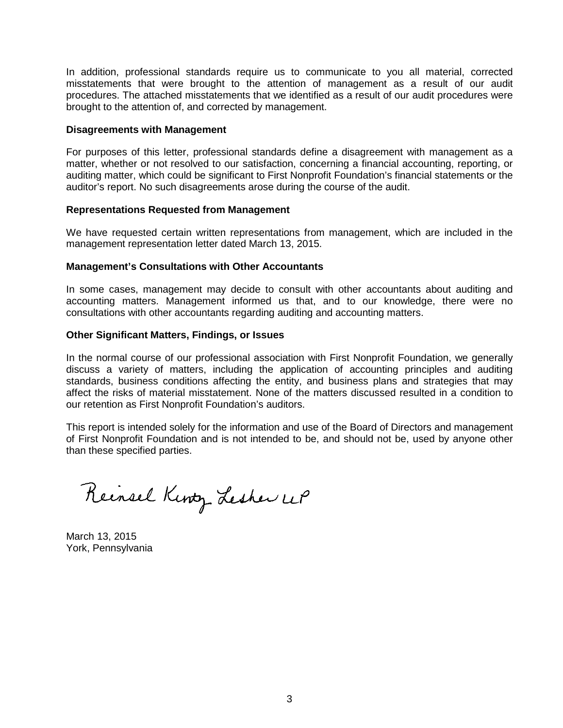In addition, professional standards require us to communicate to you all material, corrected misstatements that were brought to the attention of management as a result of our audit procedures. The attached misstatements that we identified as a result of our audit procedures were brought to the attention of, and corrected by management.

## **Disagreements with Management**

For purposes of this letter, professional standards define a disagreement with management as a matter, whether or not resolved to our satisfaction, concerning a financial accounting, reporting, or auditing matter, which could be significant to First Nonprofit Foundation's financial statements or the auditor's report. No such disagreements arose during the course of the audit.

#### **Representations Requested from Management**

We have requested certain written representations from management, which are included in the management representation letter dated March 13, 2015.

#### **Management's Consultations with Other Accountants**

In some cases, management may decide to consult with other accountants about auditing and accounting matters. Management informed us that, and to our knowledge, there were no consultations with other accountants regarding auditing and accounting matters.

#### **Other Significant Matters, Findings, or Issues**

In the normal course of our professional association with First Nonprofit Foundation, we generally discuss a variety of matters, including the application of accounting principles and auditing standards, business conditions affecting the entity, and business plans and strategies that may affect the risks of material misstatement. None of the matters discussed resulted in a condition to our retention as First Nonprofit Foundation's auditors.

This report is intended solely for the information and use of the Board of Directors and management of First Nonprofit Foundation and is not intended to be, and should not be, used by anyone other than these specified parties.

Reinsel Kinty Lesher UP

March 13, 2015 York, Pennsylvania